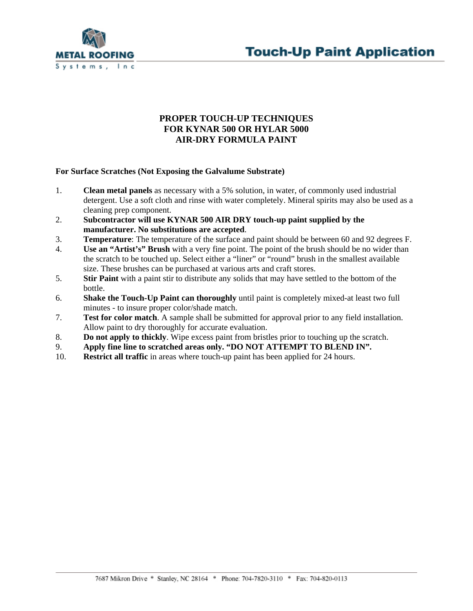



## **PROPER TOUCH-UP TECHNIQUES FOR KYNAR 500 OR HYLAR 5000 AIR-DRY FORMULA PAINT**

## **For Surface Scratches (Not Exposing the Galvalume Substrate)**

- 1. **Clean metal panels** as necessary with a 5% solution, in water, of commonly used industrial detergent. Use a soft cloth and rinse with water completely. Mineral spirits may also be used as a cleaning prep component.
- 2. **Subcontractor will use KYNAR 500 AIR DRY touch-up paint supplied by the manufacturer. No substitutions are accepted**.
- 3. **Temperature**: The temperature of the surface and paint should be between 60 and 92 degrees F.
- 4. **Use an "Artist's" Brush** with a very fine point. The point of the brush should be no wider than the scratch to be touched up. Select either a "liner" or "round" brush in the smallest available size. These brushes can be purchased at various arts and craft stores.
- 5. **Stir Paint** with a paint stir to distribute any solids that may have settled to the bottom of the bottle.
- 6. **Shake the Touch-Up Paint can thoroughly** until paint is completely mixed-at least two full minutes - to insure proper color/shade match.
- 7. **Test for color match**. A sample shall be submitted for approval prior to any field installation. Allow paint to dry thoroughly for accurate evaluation.
- 8. **Do not apply to thickly**. Wipe excess paint from bristles prior to touching up the scratch.
- 9. **Apply fine line to scratched areas only. "DO NOT ATTEMPT TO BLEND IN".**
- 10. **Restrict all traffic** in areas where touch-up paint has been applied for 24 hours.